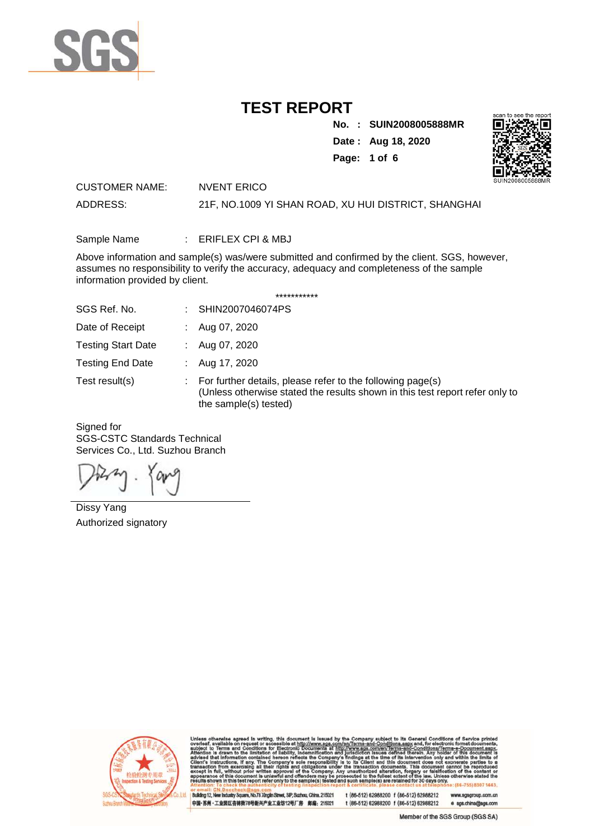

**No. : SUIN2008005888MR**

**Date : Aug 18, 2020**





CUSTOMER NAME: NVENT ERICO ADDRESS: 21F, NO.1009 YI SHAN ROAD, XU HUI DISTRICT, SHANGHAI

Sample Name : ERIFLEX CPI & MBJ

Above information and sample(s) was/were submitted and confirmed by the client. SGS, however, assumes no responsibility to verify the accuracy, adequacy and completeness of the sample information provided by client.

\*\*\*\*\*\*\*\*\*\*\*

| SGS Ref. No.              | SHIN2007046074PS                                                                                                                                                    |
|---------------------------|---------------------------------------------------------------------------------------------------------------------------------------------------------------------|
| Date of Receipt           | Aug 07, 2020                                                                                                                                                        |
| <b>Testing Start Date</b> | Aug 07, 2020                                                                                                                                                        |
| <b>Testing End Date</b>   | Aug 17, 2020                                                                                                                                                        |
| Test result(s)            | For further details, please refer to the following page(s)<br>(Unless otherwise stated the results shown in this test report refer only to<br>the sample(s) tested) |

Signed for SGS-CSTC Standards Technical Services Co., Ltd. Suzhou Branch

Dissy Yang Authorized signatory



are, No.78 Xinglin Street, SIP, Suzhou, China. 215021 stry Squ 中国·苏州·工业园区杏林街78号新兴产业工业坊12号厂房 邮编: 215021

t (86-512) 62988200 f (86-512) 62988212 up.com.cn t (86-512) 62988200 f (86-512) 62988212 e sgs.china@sgs.com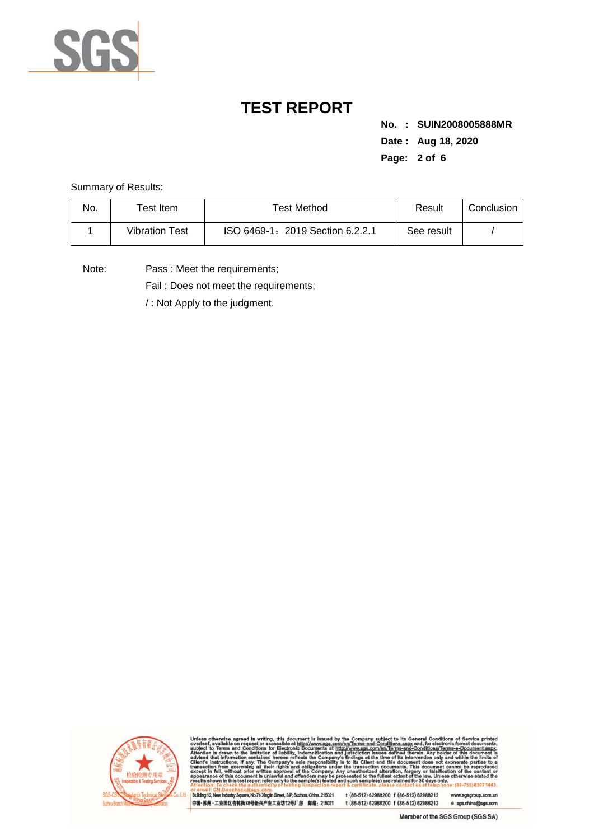

**No. : SUIN2008005888MR Date : Aug 18, 2020 Page: 2 of 6** 

Summary of Results:

| No. | $\tau$ est Item       | Test Method                      | Result     | Conclusion |
|-----|-----------------------|----------------------------------|------------|------------|
|     | <b>Vibration Test</b> | ISO 6469-1: 2019 Section 6.2.2.1 | See result |            |

Note: Pass : Meet the requirements;

Fail : Does not meet the requirements;

/ : Not Apply to the judgment.



**NWW.B** (443)

or email: GN.Doccheck@sgs.com<br>|Building 12, New Industry Square, No.78 Xinglin Street, SIP, Suzhou, China.215021<br>|中国·苏州 · 工业园区杏林街78号新兴产业工业坊12号厂房 / 邮编:215021

t (86-512) 62988200 f (86-512) 62988212 www.sgsgroup.com.cn t (86-512) 62988200 f (86-512) 62988212 e sgs.china@sgs.com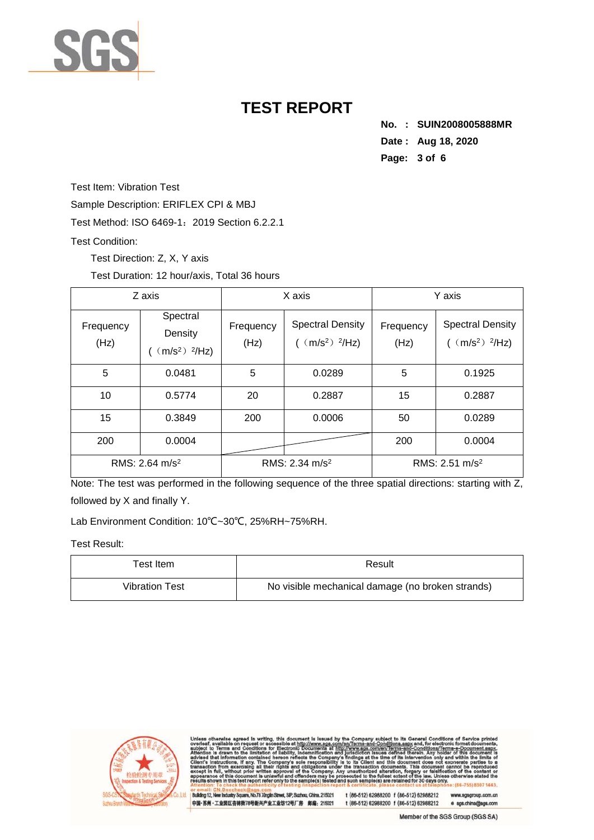

**No. : SUIN2008005888MR Date : Aug 18, 2020 Page: 3 of 6** 

Test Item: Vibration Test

Sample Description: ERIFLEX CPI & MBJ

Test Method: ISO 6469-1:2019 Section 6.2.2.1

#### Test Condition:

Test Direction: Z, X, Y axis

Test Duration: 12 hour/axis, Total 36 hours

| Z axis            |                                                   | X axis            |                                                                      | Y axis            |                                                       |
|-------------------|---------------------------------------------------|-------------------|----------------------------------------------------------------------|-------------------|-------------------------------------------------------|
| Frequency<br>(Hz) | Spectral<br>Density<br>$(m/s2)$ <sup>2</sup> /Hz) | Frequency<br>(Hz) | <b>Spectral Density</b><br>$($ (m/s <sup>2</sup> ) <sup>2</sup> /Hz) | Frequency<br>(Hz) | <b>Spectral Density</b><br>$(m/s2)$ <sup>2</sup> /Hz) |
| 5                 | 0.0481                                            | 5                 | 0.0289                                                               | 5                 | 0.1925                                                |
| 10                | 0.5774                                            | 20                | 0.2887                                                               | 15                | 0.2887                                                |
| 15                | 0.3849                                            | 200               | 0.0006                                                               | 50                | 0.0289                                                |
| 200               | 0.0004                                            |                   |                                                                      | 200               | 0.0004                                                |
| RMS: 2.64 $m/s2$  |                                                   | RMS: 2.34 $m/s2$  |                                                                      | RMS: 2.51 $m/s2$  |                                                       |

Note: The test was performed in the following sequence of the three spatial directions: starting with Z, followed by X and finally Y.

Lab Environment Condition: 10℃~30℃, 25%RH~75%RH.

Test Result:

| ™est Item ∶           | Result                                           |  |
|-----------------------|--------------------------------------------------|--|
| <b>Vibration Test</b> | No visible mechanical damage (no broken strands) |  |



et, SIP, Suzhou, China. 215021 are, No.78 Xinglin Str 中国·苏州·工业园区杏林街78号新兴产业工业坊12号厂房 邮编: 215021 t (86-512) 62988200 f (86-512) 62988212 t (86-512) 62988200 f (86-512) 62988212 e sgs.china@sgs.com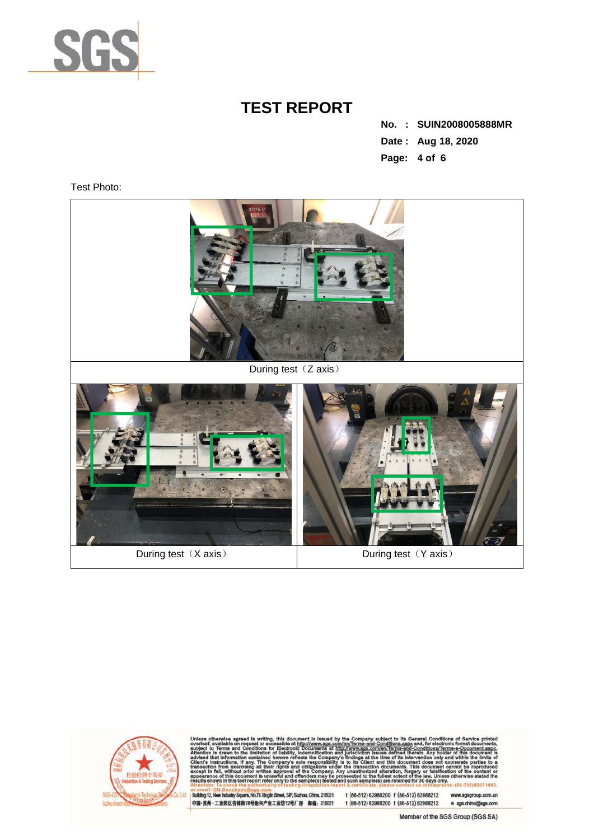

**No. : SUIN2008005888MR Date : Aug 18, 2020 Page: 4 of 6** 

Test Photo:





443

or email: GN.Doccheck@sgs.com<br>|Building 12, New Industry Square, No.78 Xinglin Street, SIP, Suzhou, China.215021<br>|中国·苏州 · 工业园区杏林街78号新兴产业工业坊12号厂房 / 邮编:215021

t (86-512) 62988200 f (86-512) 62988212<br>t (86-512) 62988200 f (86-512) 62988212 ww.sgsgroup.com.cn e sgs.china@sgs.com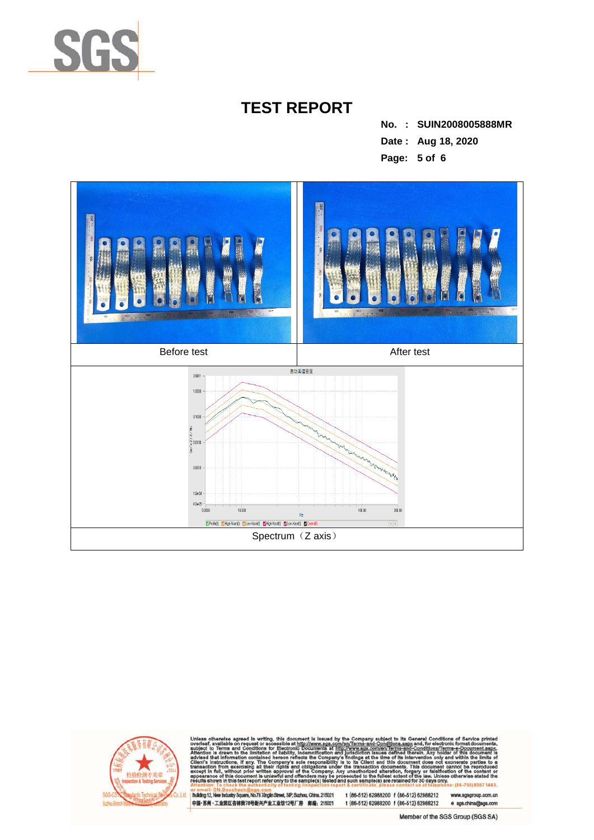

**No. : SUIN2008005888MR Date : Aug 18, 2020 Page: 5 of 6** 





443

or email: GN.Doccheck@age.com<br>|Building 12, New Industry Square, No.78 Xinglin Street, SIP, Suzhou, China. 215021<br>|中国-苏州 · 工业园区杏林街78号新兴产业工业坊12号厂房 第编:215021

t (86-512) 62988200 f (86-512) 62988212 up.com.cn t (86-512) 62988200 f (86-512) 62988212 e sgs.china@sgs.com

Member of the SGS Group (SGS SA)